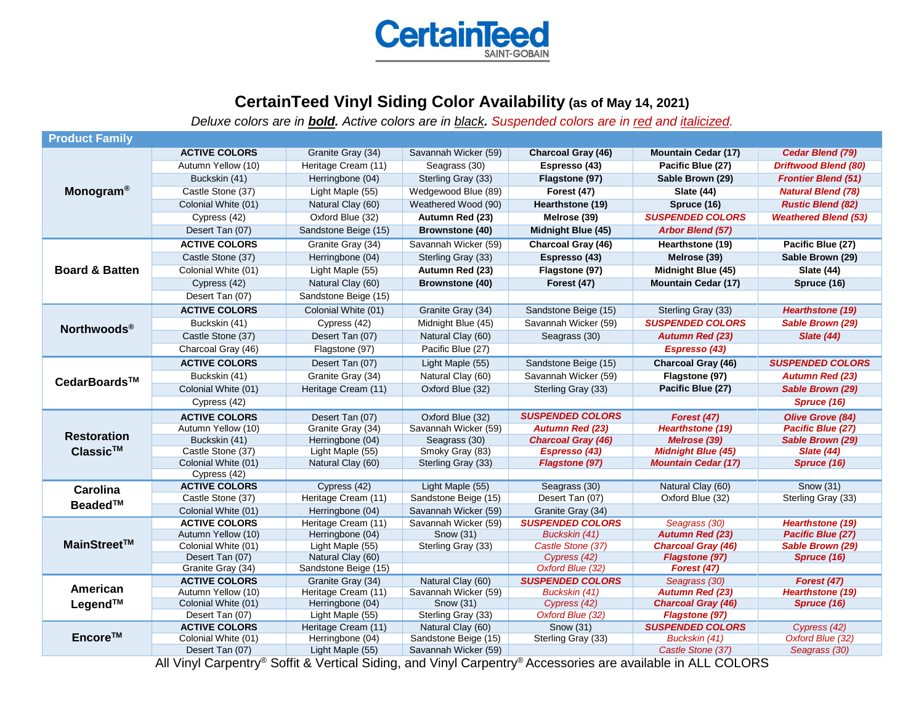

## **CertainTeed Vinyl Siding Color Availability (as of May 14, 2021)**

*Deluxe colors are in bold. Active colors are in black. Suspended colors are in red and italicized.*

| <b>Product Family</b>                |                                             |                                         |                                           |                                  |                                           |                                  |
|--------------------------------------|---------------------------------------------|-----------------------------------------|-------------------------------------------|----------------------------------|-------------------------------------------|----------------------------------|
| <b>Monogram®</b>                     | <b>ACTIVE COLORS</b>                        | Granite Gray (34)                       | Savannah Wicker (59)                      | <b>Charcoal Gray (46)</b>        | <b>Mountain Cedar (17)</b>                | Cedar Blend (79)                 |
|                                      | Autumn Yellow (10)                          | Heritage Cream (11)                     | Seagrass (30)                             | Espresso (43)                    | Pacific Blue (27)                         | <b>Driftwood Blend (80)</b>      |
|                                      | Buckskin (41)                               | Herringbone (04)                        | Sterling Gray (33)                        | Flagstone (97)                   | Sable Brown (29)                          | <b>Frontier Blend (51)</b>       |
|                                      | Castle Stone (37)                           | Light Maple (55)                        | Wedgewood Blue (89)                       | Forest (47)                      | <b>Slate (44)</b>                         | <b>Natural Blend (78)</b>        |
|                                      | Colonial White (01)                         | Natural Clay (60)                       | Weathered Wood (90)                       | Hearthstone (19)                 | Spruce (16)                               | <b>Rustic Blend (82)</b>         |
|                                      | Cypress (42)                                | Oxford Blue (32)                        | Autumn Red (23)                           | Melrose (39)                     | <b>SUSPENDED COLORS</b>                   | <b>Weathered Blend (53)</b>      |
|                                      | Desert Tan (07)                             | Sandstone Beige (15)                    | <b>Brownstone (40)</b>                    | Midnight Blue (45)               | <b>Arbor Blend (57)</b>                   |                                  |
| <b>Board &amp; Batten</b>            | <b>ACTIVE COLORS</b>                        | Granite Gray (34)                       | Savannah Wicker (59)                      | Charcoal Gray (46)               | Hearthstone (19)                          | Pacific Blue (27)                |
|                                      | Castle Stone (37)                           | Herringbone (04)                        | Sterling Gray (33)                        | Espresso (43)                    | Melrose (39)                              | Sable Brown (29)                 |
|                                      | Colonial White (01)                         | Light Maple (55)                        | Autumn Red (23)                           | Flagstone (97)                   | Midnight Blue (45)                        | <b>Slate (44)</b>                |
|                                      | Cypress (42)                                | Natural Clay (60)                       | <b>Brownstone (40)</b>                    | Forest (47)                      | <b>Mountain Cedar (17)</b>                | Spruce (16)                      |
|                                      | Desert Tan (07)                             | Sandstone Beige (15)                    |                                           |                                  |                                           |                                  |
| Northwoods®                          | <b>ACTIVE COLORS</b>                        | Colonial White (01)                     | Granite Gray (34)                         | Sandstone Beige (15)             | Sterling Gray (33)                        | <b>Hearthstone (19)</b>          |
|                                      | Buckskin (41)                               | Cypress (42)                            | Midnight Blue (45)                        | Savannah Wicker (59)             | <b>SUSPENDED COLORS</b>                   | Sable Brown (29)                 |
|                                      | Castle Stone (37)                           | Desert Tan (07)                         | Natural Clay (60)                         | Seagrass (30)                    | <b>Autumn Red (23)</b>                    | <b>Slate (44)</b>                |
|                                      | Charcoal Gray (46)                          | Flagstone (97)                          | Pacific Blue (27)                         |                                  | Espresso (43)                             |                                  |
| CedarBoards™                         | <b>ACTIVE COLORS</b>                        | Desert Tan (07)                         | Light Maple (55)                          | Sandstone Beige (15)             | <b>Charcoal Gray (46)</b>                 | <b>SUSPENDED COLORS</b>          |
|                                      | Buckskin (41)                               | Granite Gray (34)                       | Natural Clay (60)                         | Savannah Wicker (59)             | Flagstone (97)                            | <b>Autumn Red (23)</b>           |
|                                      | Colonial White (01)                         | Heritage Cream (11)                     | Oxford Blue (32)                          | Sterling Gray (33)               | Pacific Blue (27)                         | Sable Brown (29)                 |
|                                      | Cypress (42)                                |                                         |                                           |                                  |                                           | Spruce (16)                      |
| <b>Restoration</b><br>$Classic^{TM}$ | <b>ACTIVE COLORS</b>                        | Desert Tan (07)                         | Oxford Blue (32)                          | <b>SUSPENDED COLORS</b>          | Forest (47)                               | <b>Olive Grove (84)</b>          |
|                                      | Autumn Yellow (10)                          | Granite Gray (34)                       | Savannah Wicker (59)                      | <b>Autumn Red (23)</b>           | <b>Hearthstone (19)</b>                   | Pacific Blue (27)                |
|                                      | Buckskin (41)                               | Herringbone (04)                        | Seagrass (30)                             | <b>Charcoal Gray (46)</b>        | Melrose (39)                              | Sable Brown (29)                 |
|                                      | Castle Stone (37)                           | Light Maple (55)                        | Smoky Gray (83)                           | Espresso (43)                    | <b>Midnight Blue (45)</b>                 | <b>Slate (44)</b>                |
|                                      | Colonial White (01)                         | Natural Clay (60)                       | Sterling Gray (33)                        | <b>Flagstone (97)</b>            | <b>Mountain Cedar (17)</b>                | Spruce (16)                      |
|                                      | Cypress (42)                                |                                         |                                           |                                  |                                           |                                  |
| <b>Carolina</b><br>Beaded™           | <b>ACTIVE COLORS</b><br>Castle Stone (37)   | Cypress (42)<br>Heritage Cream (11)     | Light Maple (55)<br>Sandstone Beige (15)  | Seagrass (30)<br>Desert Tan (07) | Natural Clay (60)<br>Oxford Blue (32)     | Snow (31)<br>Sterling Gray (33)  |
|                                      | Colonial White (01)                         | Herringbone (04)                        | Savannah Wicker (59)                      | Granite Gray (34)                |                                           |                                  |
| MainStreet™                          | <b>ACTIVE COLORS</b>                        | Heritage Cream (11)                     | Savannah Wicker (59)                      | <b>SUSPENDED COLORS</b>          | Seagrass (30)                             | <b>Hearthstone (19)</b>          |
|                                      | Autumn Yellow (10)                          | Herringbone (04)                        | Snow (31)                                 | Buckskin (41)                    | <b>Autumn Red (23)</b>                    | Pacific Blue (27)                |
|                                      | Colonial White (01)                         | Light Maple (55)                        | Sterling Gray (33)                        | Castle Stone (37)                | <b>Charcoal Gray (46)</b>                 | Sable Brown (29)                 |
|                                      | Desert Tan (07)                             | Natural Clay (60)                       |                                           | Cypress (42)                     | <b>Flagstone (97)</b>                     | Spruce (16)                      |
|                                      | Granite Gray (34)                           | Sandstone Beige (15)                    |                                           | Oxford Blue (32)                 | Forest (47)                               |                                  |
| American<br>Legend™                  | <b>ACTIVE COLORS</b>                        | Granite Gray (34)                       | Natural Clay (60)                         | <b>SUSPENDED COLORS</b>          | Seagrass (30)                             | Forest (47)                      |
|                                      | Autumn Yellow (10)                          | Heritage Cream (11)                     | Savannah Wicker (59)                      | Buckskin (41)                    | <b>Autumn Red (23)</b>                    | Hearthstone (19)                 |
|                                      | Colonial White (01)                         | Herringbone (04)                        | Snow (31)                                 | Cypress (42)                     | <b>Charcoal Gray (46)</b>                 | Spruce (16)                      |
| Encore™                              | Desert Tan (07)                             | Light Maple (55)                        | Sterling Gray (33)                        | Oxford Blue (32)                 | Flagstone (97)<br><b>SUSPENDED COLORS</b> |                                  |
|                                      | <b>ACTIVE COLORS</b><br>Colonial White (01) | Heritage Cream (11)<br>Herringbone (04) | Natural Clay (60)<br>Sandstone Beige (15) | Snow (31)<br>Sterling Gray (33)  | Buckskin (41)                             | Cypress (42)<br>Oxford Blue (32) |
|                                      | Desert Tan (07)                             | Light Maple (55)                        | Savannah Wicker (59)                      |                                  | Castle Stone (37)                         | Seagrass (30)                    |
|                                      |                                             |                                         |                                           |                                  |                                           |                                  |

All Vinyl Carpentry® Soffit & Vertical Siding, and Vinyl Carpentry® Accessories are available in ALL COLORS